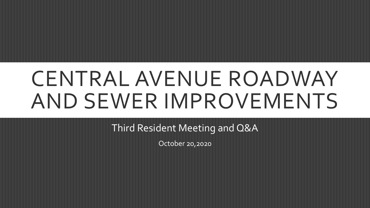# CENTRAL AVENUE ROADWAY AND SEWER IMPROVEMENTS

Third Resident Meeting and Q&A

October 20,2020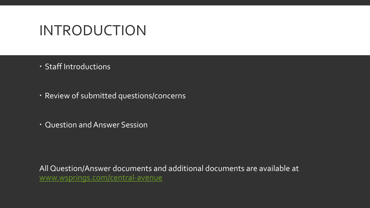### INTRODUCTION

- Staff Introductions
- Review of submitted questions/concerns
- Question and Answer Session

All Question/Answer documents and additional documents are available at [www.wsprings.com/central-avenue](http://www.wsprings.com/central-avenue)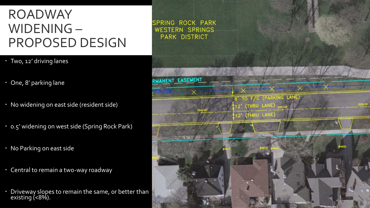### ROADWAY WIDENING – PROPOSED DESIGN

SPRING ROCK PARK **WESTERN SPRINGS PARK DISTRICT** 

- Two, 12' driving lanes
- One, 8' parking lane
- No widening on east side (resident side)
- 0.5' widening on west side (Spring Rock Park)
- No Parking on east side
- Central to remain a two-way roadway
- Driveway slopes to remain the same, or better than existing (<8%).

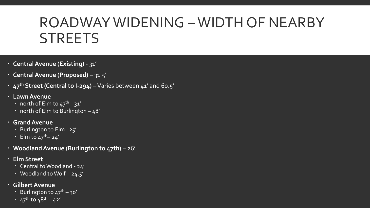## ROADWAY WIDENING –WIDTH OF NEARBY **STREETS**

- **Central Avenue (Existing)**  31'
- **Central Avenue (Proposed)**  31.5'
- **47th Street (Central to I-294)** –Varies between 41' and 60.5'
- **Lawn Avenue**
	- north of Elm to  $47^{\text{th}} 31'$
	- north of Elm to Burlington  $-48'$
- **Grand Avenue** 
	- Burlington to Elm– 25'
	- Elm to  $47^{\text{th}}$  24'
- **Woodland Avenue (Burlington to 47th)** 26'
- **Elm Street**
	- Central to Woodland 24'
	- Woodland to Wolf 24.5'
- **Gilbert Avenue**
	- **·** Burlington to  $47^{\text{th}} 30'$
	- $\frac{1}{47}$ th to 48<sup>th</sup> 42'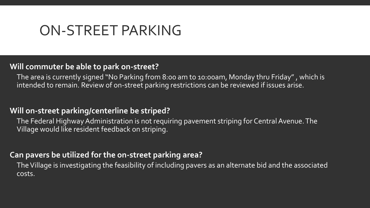### ON-STREET PARKING

### **Will commuter be able to park on-street?**

The area is currently signed "No Parking from 8:00 am to 10:00am, Monday thru Friday" , which is intended to remain. Review of on-street parking restrictions can be reviewed if issues arise.

### **Will on-street parking/centerline be striped?**

The Federal Highway Administration is not requiring pavement striping for Central Avenue. The Village would like resident feedback on striping.

### **Can pavers be utilized for the on-street parking area?**

The Village is investigating the feasibility of including pavers as an alternate bid and the associated costs.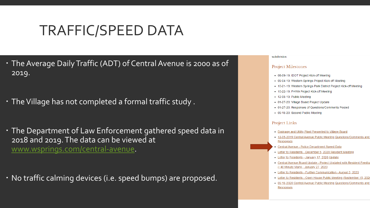## TRAFFIC/SPEED DATA

- The Average Daily Traffic (ADT) of Central Avenue is 2000 as of 2019.
- The Village has not completed a formal traffic study .
- The Department of Law Enforcement gathered speed data in 2018 and 2019. The data can be viewed at [www.wsprings.com/central-avenue](http://www.wsprings.com/central-avenue).

No traffic calming devices (i.e. speed bumps) are proposed.

#### subdivision

#### **Project Milestones**

- 08-09-19: IDOT Project Kick-off Meeting
- . 09-04-19: Western Springs Project Kick-off Meeting
- 10-21-19: Western Springs Park District Project Kick-off Meeting
- 10-22-19: FHWA Project Kick-off Meeting
- 12-05-19: Public Meeting
- 01-27-20: Village Board Project Update
- 01-27-20: Responses of Questions/Comments Posted
- 09-15-20: Second Public Meeting

#### **Project Links**

- Drainage and Utility Plant Presented to Village Board
- 12-05-2019 Central Avenue Public Meeting Questions/Comments Responses
- Central Avenue Police Department Speed Data
- Letter to Residents December 5, 2020 Resident Meeting
- Letter to Residents January 17, 2020 Update
- Central Avenue Board Update Project Updated with Resident Feedba (~40 Minute Mark) - January 27, 2020
- Letter to Residents Further Communication August 5, 2020
- Letter to Residents Open House Public Meeting (September 15, 202)
- . 09-15-2020 Central Avenue Public Meeting Questions/Comments and Responses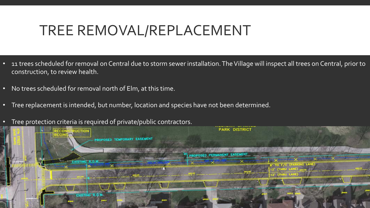## TREE REMOVAL/REPLACEMENT

- 11 trees scheduled for removal on Central due to storm sewer installation. The Village will inspect all trees on Central, prior to construction, to review health.
- No trees scheduled for removal north of Elm, at this time.
- Tree replacement is intended, but number, location and species have not been determined.
- Tree protection criteria is required of private/public contractors.

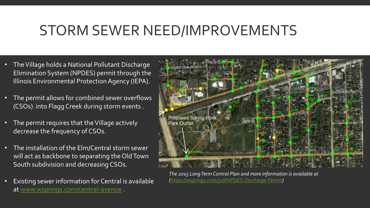### STORM SEWER NEED/IMPROVEMENTS

- The Village holds a National Pollutant Discharge Elimination System (NPDES) permit through the Illinois Environmental Protection Agency (IEPA).
- The permit allows for combined sewer overflows (CSOs) into Flagg Creek during storm events .
- The permit requires that the Village actively decrease the frequency of CSOs.
- The installation of the Elm/Central storm sewer will act as backbone to separating the Old Town South subdivision and decreasing CSOs.
- Existing sewer information for Central is available at [www.wsprings.com/central-avenue](http://www.wsprings.com/central-avenue) .



*The 2015 Long Term Control Plan and more information is available at [\(https://wsprings.com/318/NPDES-Discharge-Permit](https://wsprings.com/318/NPDES-Discharge-Permit))*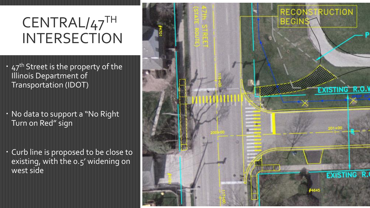## CENTRAL/47TH **INTERSECTION**

- 47<sup>th</sup> Street is the property of the Illinois Department of Transportation (IDOT)
- No data to support a "No Right Turn on Red" sign
- Curb line is proposed to be close to existing, with the 0.5' widening on west side

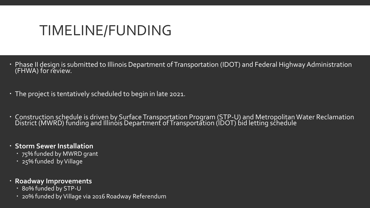## TIMELINE/FUNDING

- Phase II design is submitted to Illinois Department of Transportation (IDOT) and Federal Highway Administration (FHWA) for review.
- The project is tentatively scheduled to begin in late 2021.
- Construction schedule is driven by Surface Transportation Program (STP-U) and Metropolitan Water Reclamation District (MWRD) funding and Illinóis Department of Transportation (IDOT) bid letting schedule
- **Storm Sewer Installation** 
	- 75% funded by MWRD grant
	- 25% funded by Village
- **Roadway Improvements**
	- 80% funded by STP-U
	- 20% funded by Village via 2016 Roadway Referendum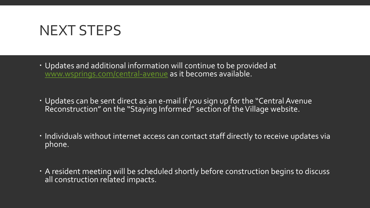### NEXT STEPS

- Updates and additional information will continue to be provided at [www.wsprings.com/central-avenue](http://www.wsprings.com/central-avenue) as it becomes available.
- Updates can be sent direct as an e-mail if you sign up for the "Central Avenue Reconstruction" on the "Staying Informed" section of the Village website.
- Individuals without internet access can contact staff directly to receive updates via phone.
- A resident meeting will be scheduled shortly before construction begins to discuss all construction related impacts.